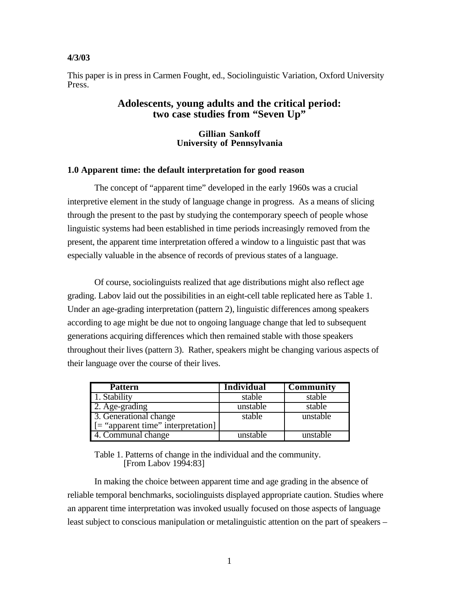#### **4/3/03**

This paper is in press in Carmen Fought, ed., Sociolinguistic Variation, Oxford University Press.

## **Adolescents, young adults and the critical period: two case studies from "Seven Up"**

#### **Gillian Sankoff University of Pennsylvania**

### **1.0 Apparent time: the default interpretation for good reason**

The concept of "apparent time" developed in the early 1960s was a crucial interpretive element in the study of language change in progress. As a means of slicing through the present to the past by studying the contemporary speech of people whose linguistic systems had been established in time periods increasingly removed from the present, the apparent time interpretation offered a window to a linguistic past that was especially valuable in the absence of records of previous states of a language.

Of course, sociolinguists realized that age distributions might also reflect age grading. Labov laid out the possibilities in an eight-cell table replicated here as Table 1. Under an age-grading interpretation (pattern 2), linguistic differences among speakers according to age might be due not to ongoing language change that led to subsequent generations acquiring differences which then remained stable with those speakers throughout their lives (pattern 3). Rather, speakers might be changing various aspects of their language over the course of their lives.

| <b>Pattern</b>                           | <b>Individual</b> | Community |
|------------------------------------------|-------------------|-----------|
| 1. Stability                             | stable            | stable    |
| 2. Age-grading                           | unstable          | stable    |
| 3. Generational change                   | stable            | unstable  |
| $\vert$ = "apparent time" interpretation |                   |           |
| 4. Communal change                       | unstable          | unstable  |

Table 1. Patterns of change in the individual and the community. [From Labov 1994:83]

In making the choice between apparent time and age grading in the absence of reliable temporal benchmarks, sociolinguists displayed appropriate caution. Studies where an apparent time interpretation was invoked usually focused on those aspects of language least subject to conscious manipulation or metalinguistic attention on the part of speakers –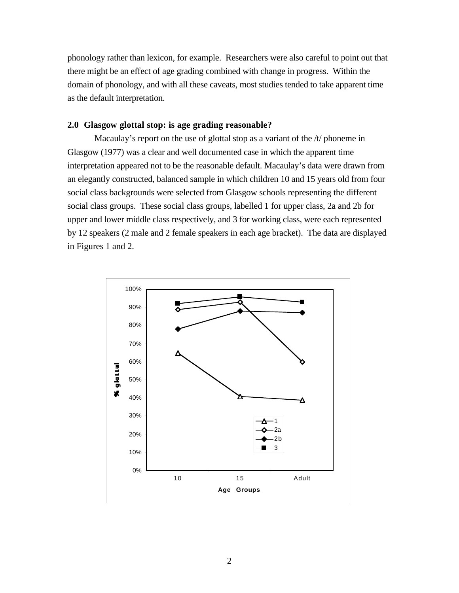phonology rather than lexicon, for example. Researchers were also careful to point out that there might be an effect of age grading combined with change in progress. Within the domain of phonology, and with all these caveats, most studies tended to take apparent time as the default interpretation.

## **2.0 Glasgow glottal stop: is age grading reasonable?**

Macaulay's report on the use of glottal stop as a variant of the /t/ phoneme in Glasgow (1977) was a clear and well documented case in which the apparent time interpretation appeared not to be the reasonable default. Macaulay's data were drawn from an elegantly constructed, balanced sample in which children 10 and 15 years old from four social class backgrounds were selected from Glasgow schools representing the different social class groups. These social class groups, labelled 1 for upper class, 2a and 2b for upper and lower middle class respectively, and 3 for working class, were each represented by 12 speakers (2 male and 2 female speakers in each age bracket). The data are displayed in Figures 1 and 2.

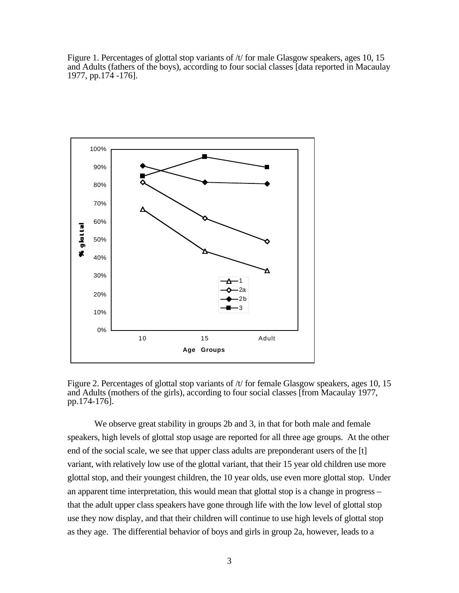Figure 1. Percentages of glottal stop variants of /t/ for male Glasgow speakers, ages 10, 15 and Adults (fathers of the boys), according to four social classes [data reported in Macaulay 1977, pp.174 -176].



Figure 2. Percentages of glottal stop variants of /t/ for female Glasgow speakers, ages 10, 15 and Adults (mothers of the girls), according to four social classes [from Macaulay 1977, pp.174-176].

We observe great stability in groups 2b and 3, in that for both male and female speakers, high levels of glottal stop usage are reported for all three age groups. At the other end of the social scale, we see that upper class adults are preponderant users of the [t] variant, with relatively low use of the glottal variant, that their 15 year old children use more glottal stop, and their youngest children, the 10 year olds, use even more glottal stop. Under an apparent time interpretation, this would mean that glottal stop is a change in progress – that the adult upper class speakers have gone through life with the low level of glottal stop use they now display, and that their children will continue to use high levels of glottal stop as they age. The differential behavior of boys and girls in group 2a, however, leads to a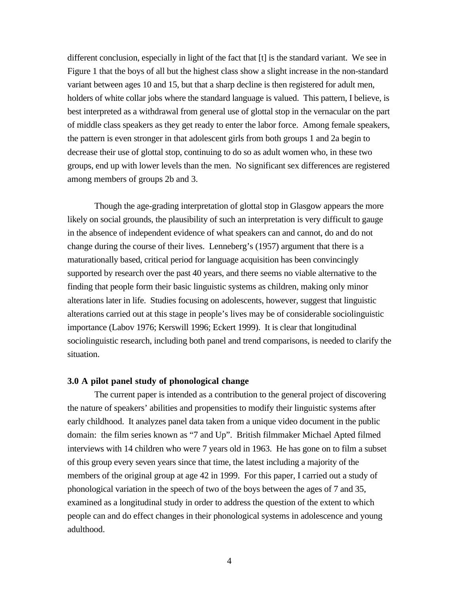different conclusion, especially in light of the fact that [t] is the standard variant. We see in Figure 1 that the boys of all but the highest class show a slight increase in the non-standard variant between ages 10 and 15, but that a sharp decline is then registered for adult men, holders of white collar jobs where the standard language is valued. This pattern, I believe, is best interpreted as a withdrawal from general use of glottal stop in the vernacular on the part of middle class speakers as they get ready to enter the labor force. Among female speakers, the pattern is even stronger in that adolescent girls from both groups 1 and 2a begin to decrease their use of glottal stop, continuing to do so as adult women who, in these two groups, end up with lower levels than the men. No significant sex differences are registered among members of groups 2b and 3.

Though the age-grading interpretation of glottal stop in Glasgow appears the more likely on social grounds, the plausibility of such an interpretation is very difficult to gauge in the absence of independent evidence of what speakers can and cannot, do and do not change during the course of their lives. Lenneberg's (1957) argument that there is a maturationally based, critical period for language acquisition has been convincingly supported by research over the past 40 years, and there seems no viable alternative to the finding that people form their basic linguistic systems as children, making only minor alterations later in life. Studies focusing on adolescents, however, suggest that linguistic alterations carried out at this stage in people's lives may be of considerable sociolinguistic importance (Labov 1976; Kerswill 1996; Eckert 1999). It is clear that longitudinal sociolinguistic research, including both panel and trend comparisons, is needed to clarify the situation.

#### **3.0 A pilot panel study of phonological change**

The current paper is intended as a contribution to the general project of discovering the nature of speakers' abilities and propensities to modify their linguistic systems after early childhood. It analyzes panel data taken from a unique video document in the public domain: the film series known as "7 and Up". British filmmaker Michael Apted filmed interviews with 14 children who were 7 years old in 1963. He has gone on to film a subset of this group every seven years since that time, the latest including a majority of the members of the original group at age 42 in 1999. For this paper, I carried out a study of phonological variation in the speech of two of the boys between the ages of 7 and 35, examined as a longitudinal study in order to address the question of the extent to which people can and do effect changes in their phonological systems in adolescence and young adulthood.

4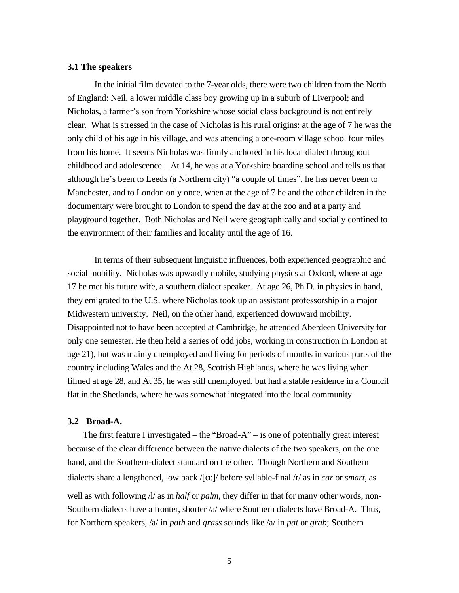### **3.1 The speakers**

In the initial film devoted to the 7-year olds, there were two children from the North of England: Neil, a lower middle class boy growing up in a suburb of Liverpool; and Nicholas, a farmer's son from Yorkshire whose social class background is not entirely clear. What is stressed in the case of Nicholas is his rural origins: at the age of 7 he was the only child of his age in his village, and was attending a one-room village school four miles from his home. It seems Nicholas was firmly anchored in his local dialect throughout childhood and adolescence. At 14, he was at a Yorkshire boarding school and tells us that although he's been to Leeds (a Northern city) "a couple of times", he has never been to Manchester, and to London only once, when at the age of 7 he and the other children in the documentary were brought to London to spend the day at the zoo and at a party and playground together. Both Nicholas and Neil were geographically and socially confined to the environment of their families and locality until the age of 16.

In terms of their subsequent linguistic influences, both experienced geographic and social mobility. Nicholas was upwardly mobile, studying physics at Oxford, where at age 17 he met his future wife, a southern dialect speaker. At age 26, Ph.D. in physics in hand, they emigrated to the U.S. where Nicholas took up an assistant professorship in a major Midwestern university. Neil, on the other hand, experienced downward mobility. Disappointed not to have been accepted at Cambridge, he attended Aberdeen University for only one semester. He then held a series of odd jobs, working in construction in London at age 21), but was mainly unemployed and living for periods of months in various parts of the country including Wales and the At 28, Scottish Highlands, where he was living when filmed at age 28, and At 35, he was still unemployed, but had a stable residence in a Council flat in the Shetlands, where he was somewhat integrated into the local community

## **3.2 Broad-A.**

The first feature I investigated – the "Broad-A" – is one of potentially great interest because of the clear difference between the native dialects of the two speakers, on the one hand, and the Southern-dialect standard on the other. Though Northern and Southern dialects share a lengthened, low back /[a:]/ before syllable-final /r/ as in *car* or *smart*, as well as with following /l/ as in *half* or *palm*, they differ in that for many other words, non-Southern dialects have a fronter, shorter /a/ where Southern dialects have Broad-A. Thus, for Northern speakers, /a/ in *path* and *grass* sounds like /a/ in *pat* or *grab*; Southern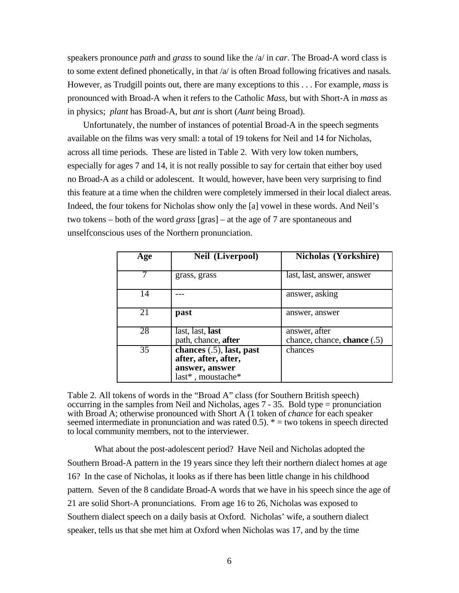speakers pronounce *path* and *grass* to sound like the /a/ in *car*. The Broad-A word class is to some extent defined phonetically, in that  $\alpha$  is often Broad following fricatives and nasals. However, as Trudgill points out, there are many exceptions to this . . . For example, *mass* is pronounced with Broad-A when it refers to the Catholic *Mass*, but with Short-A in *mass* as in physics; *plant* has Broad-A, but *ant* is short (*Aunt* being Broad).

Unfortunately, the number of instances of potential Broad-A in the speech segments available on the films was very small: a total of 19 tokens for Neil and 14 for Nicholas, across all time periods. These are listed in Table 2. With very low token numbers, especially for ages 7 and 14, it is not really possible to say for certain that either boy used no Broad-A as a child or adolescent. It would, however, have been very surprising to find this feature at a time when the children were completely immersed in their local dialect areas. Indeed, the four tokens for Nicholas show only the [a] vowel in these words. And Neil's two tokens – both of the word *grass* [gras] – at the age of 7 are spontaneous and unselfconscious uses of the Northern pronunciation.

| Age             | Neil (Liverpool)                                                                           | <b>Nicholas (Yorkshire)</b>                  |
|-----------------|--------------------------------------------------------------------------------------------|----------------------------------------------|
|                 | grass, grass                                                                               | last, last, answer, answer                   |
| 14              |                                                                                            | answer, asking                               |
| 21              | past                                                                                       | answer, answer                               |
| 28              | $\overline{\text{last}}$ , last, last<br>path, chance, after                               | answer, after<br>chance, chance, chance (.5) |
| $\overline{35}$ | chances $(.5)$ , last, past<br>after, after, after,<br>answer, answer<br>last*, moustache* | chances                                      |

Table 2. All tokens of words in the "Broad A" class (for Southern British speech) occurring in the samples from Neil and Nicholas, ages  $7 - 35$ . Bold type = pronunciation with Broad A; otherwise pronounced with Short A (1 token of *chance* for each speaker seemed intermediate in pronunciation and was rated  $0.5$ .  $* =$  two tokens in speech directed to local community members, not to the interviewer.

What about the post-adolescent period? Have Neil and Nicholas adopted the Southern Broad-A pattern in the 19 years since they left their northern dialect homes at age 16? In the case of Nicholas, it looks as if there has been little change in his childhood pattern. Seven of the 8 candidate Broad-A words that we have in his speech since the age of 21 are solid Short-A pronunciations. From age 16 to 26, Nicholas was exposed to Southern dialect speech on a daily basis at Oxford. Nicholas' wife, a southern dialect speaker, tells us that she met him at Oxford when Nicholas was 17, and by the time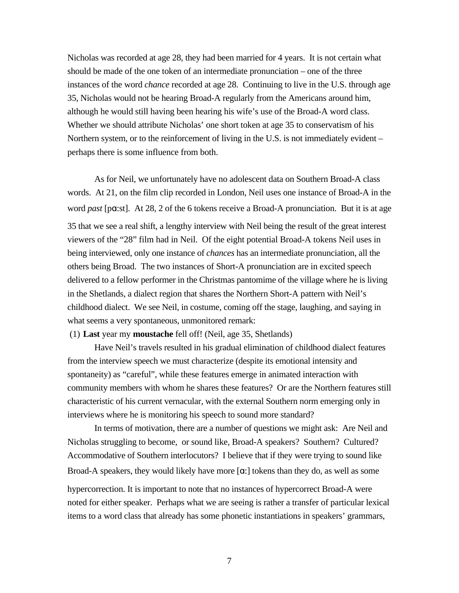Nicholas was recorded at age 28, they had been married for 4 years. It is not certain what should be made of the one token of an intermediate pronunciation – one of the three instances of the word *chance* recorded at age 28. Continuing to live in the U.S. through age 35, Nicholas would not be hearing Broad-A regularly from the Americans around him, although he would still having been hearing his wife's use of the Broad-A word class. Whether we should attribute Nicholas' one short token at age 35 to conservatism of his Northern system, or to the reinforcement of living in the U.S. is not immediately evident – perhaps there is some influence from both.

As for Neil, we unfortunately have no adolescent data on Southern Broad-A class words. At 21, on the film clip recorded in London, Neil uses one instance of Broad-A in the word *past* [p**a**:st]. At 28, 2 of the 6 tokens receive a Broad-A pronunciation. But it is at age 35 that we see a real shift, a lengthy interview with Neil being the result of the great interest viewers of the "28" film had in Neil. Of the eight potential Broad-A tokens Neil uses in being interviewed, only one instance of *chances* has an intermediate pronunciation, all the others being Broad. The two instances of Short-A pronunciation are in excited speech delivered to a fellow performer in the Christmas pantomime of the village where he is living in the Shetlands, a dialect region that shares the Northern Short-A pattern with Neil's childhood dialect. We see Neil, in costume, coming off the stage, laughing, and saying in what seems a very spontaneous, unmonitored remark:

(1) **Last** year my **moustache** fell off! (Neil, age 35, Shetlands)

Have Neil's travels resulted in his gradual elimination of childhood dialect features from the interview speech we must characterize (despite its emotional intensity and spontaneity) as "careful", while these features emerge in animated interaction with community members with whom he shares these features? Or are the Northern features still characteristic of his current vernacular, with the external Southern norm emerging only in interviews where he is monitoring his speech to sound more standard?

In terms of motivation, there are a number of questions we might ask: Are Neil and Nicholas struggling to become, or sound like, Broad-A speakers? Southern? Cultured? Accommodative of Southern interlocutors? I believe that if they were trying to sound like Broad-A speakers, they would likely have more  $[\alpha]$  tokens than they do, as well as some hypercorrection. It is important to note that no instances of hypercorrect Broad-A were noted for either speaker. Perhaps what we are seeing is rather a transfer of particular lexical items to a word class that already has some phonetic instantiations in speakers' grammars,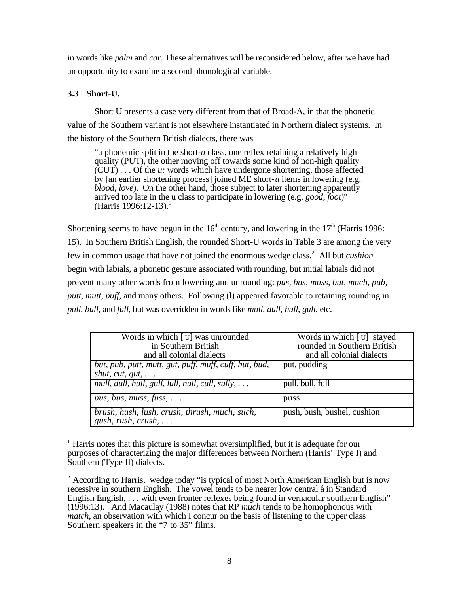in words like *palm* and *car*. These alternatives will be reconsidered below, after we have had an opportunity to examine a second phonological variable.

# **3.3 Short-U.**

Short U presents a case very different from that of Broad-A, in that the phonetic value of the Southern variant is not elsewhere instantiated in Northern dialect systems. In the history of the Southern British dialects, there was

"a phonemic split in the short-*u* class, one reflex retaining a relatively high quality (PUT), the other moving off towards some kind of non-high quality (CUT) . . . Of the *u:* words which have undergone shortening, those affected by [an earlier shortening process] joined ME short-*u* items in lowering (e.g. *blood*, *love*). On the other hand, those subject to later shortening apparently arrived too late in the u class to participate in lowering (e.g. *good*, *foot*)" (Harris 1996:12-13).<sup>1</sup>

Shortening seems to have begun in the  $16<sup>th</sup>$  century, and lowering in the  $17<sup>th</sup>$  (Harris 1996: 15). In Southern British English, the rounded Short-U words in Table 3 are among the very few in common usage that have not joined the enormous wedge class.<sup>2</sup> All but *cushion* begin with labials, a phonetic gesture associated with rounding, but initial labials did not prevent many other words from lowering and unrounding: *pus, bus, muss, but, much, pub, putt, mutt, puff,* and many others. Following (l) appeared favorable to retaining rounding in *pull*, *bull*, and *full*, but was overridden in words like *mull*, *dull*, *hull*, *gull*, etc.

| Words in which [U] was unrounded<br>in Southern British<br>and all colonial dialects | Words in which [U] stayed<br>rounded in Southern British<br>and all colonial dialects |
|--------------------------------------------------------------------------------------|---------------------------------------------------------------------------------------|
| but, pub, putt, mutt, gut, puff, muff, cuff, hut, bud,<br>shut, cut, gut, $\ldots$   | put, pudding                                                                          |
| mull, dull, hull, gull, lull, null, cull, sully, $\dots$                             | pull, bull, full                                                                      |
| pus, bus, muss, fuss, $\ldots$                                                       | puss                                                                                  |
| brush, hush, lush, crush, thrush, much, such,<br>gush, rush, $crush$ ,               | push, bush, bushel, cushion                                                           |

 $\overline{1}$ <sup>1</sup> Harris notes that this picture is somewhat oversimplified, but it is adequate for our purposes of characterizing the major differences between Northern (Harris' Type I) and Southern (Type II) dialects.

<sup>&</sup>lt;sup>2</sup> According to Harris, wedge today "is typical of most North American English but is now recessive in southern English. The vowel tends to be nearer low central å in Standard English English, ... with even fronter reflexes being found in vernacular southern English" (1996:13). And Macaulay (1988) notes that RP *much* tends to be homophonous with *match*, an observation with which I concur on the basis of listening to the upper class Southern speakers in the "7 to 35" films.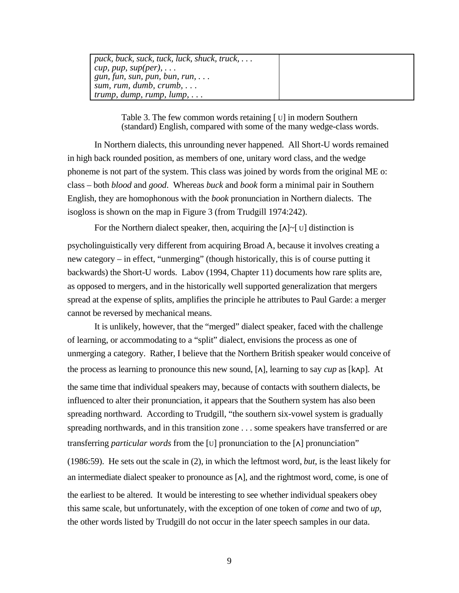| $\vert$ puck, buck, suck, tuck, luck, shuck, truck, |  |
|-----------------------------------------------------|--|
| cup, pup, sup(per), $\ldots$                        |  |
| $\mid$ gun, fun, sun, pun, bun, run,                |  |
| sum, rum, dumb, $crumb, \ldots$                     |  |
| $\mu$ trump, dump, rump, lump,                      |  |

Table 3. The few common words retaining [ U] in modern Southern (standard) English, compared with some of the many wedge-class words.

In Northern dialects, this unrounding never happened. All Short-U words remained in high back rounded position, as members of one, unitary word class, and the wedge phoneme is not part of the system. This class was joined by words from the original ME o: class – both *blood* and *good*. Whereas *buck* and *book* form a minimal pair in Southern English, they are homophonous with the *book* pronunciation in Northern dialects. The isogloss is shown on the map in Figure 3 (from Trudgill 1974:242).

For the Northern dialect speaker, then, acquiring the  $[\Lambda] \sim [U]$  distinction is

psycholinguistically very different from acquiring Broad A, because it involves creating a new category – in effect, "unmerging" (though historically, this is of course putting it backwards) the Short-U words. Labov (1994, Chapter 11) documents how rare splits are, as opposed to mergers, and in the historically well supported generalization that mergers spread at the expense of splits, amplifies the principle he attributes to Paul Garde: a merger cannot be reversed by mechanical means.

It is unlikely, however, that the "merged" dialect speaker, faced with the challenge of learning, or accommodating to a "split" dialect, envisions the process as one of unmerging a category. Rather, I believe that the Northern British speaker would conceive of the process as learning to pronounce this new sound, [√], learning to say *cup* as [k√p]. At the same time that individual speakers may, because of contacts with southern dialects, be influenced to alter their pronunciation, it appears that the Southern system has also been spreading northward. According to Trudgill, "the southern six-vowel system is gradually spreading northwards, and in this transition zone . . . some speakers have transferred or are transferring *particular words* from the [U] pronunciation to the [√] pronunciation" (1986:59). He sets out the scale in (2), in which the leftmost word, *but*, is the least likely for an intermediate dialect speaker to pronounce as  $[\Lambda]$ , and the rightmost word, come, is one of the earliest to be altered. It would be interesting to see whether individual speakers obey this same scale, but unfortunately, with the exception of one token of *come* and two of *up*, the other words listed by Trudgill do not occur in the later speech samples in our data.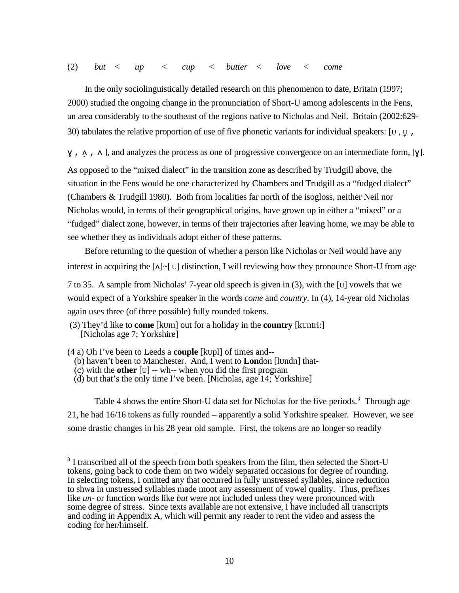In the only sociolinguistically detailed research on this phenomenon to date, Britain (1997; 2000) studied the ongoing change in the pronunciation of Short-U among adolescents in the Fens, an area considerably to the southeast of the regions native to Nicholas and Neil. Britain (2002:629- 30) tabulates the relative proportion of use of five phonetic variants for individual speakers: [U, U<sub>t</sub>,

ƒ , √3 , √ ], and analyzes the process as one of progressive convergence on an intermediate form, [ƒ].

As opposed to the "mixed dialect" in the transition zone as described by Trudgill above, the situation in the Fens would be one characterized by Chambers and Trudgill as a "fudged dialect" (Chambers & Trudgill 1980). Both from localities far north of the isogloss, neither Neil nor Nicholas would, in terms of their geographical origins, have grown up in either a "mixed" or a "fudged" dialect zone, however, in terms of their trajectories after leaving home, we may be able to see whether they as individuals adopt either of these patterns.

Before returning to the question of whether a person like Nicholas or Neil would have any interest in acquiring the  $[\Lambda] \sim [U]$  distinction, I will reviewing how they pronounce Short-U from age

7 to 35. A sample from Nicholas' 7-year old speech is given in (3), with the [U] vowels that we would expect of a Yorkshire speaker in the words *come* and *country*. In (4), 14-year old Nicholas again uses three (of three possible) fully rounded tokens.

(4 a) Oh I've been to Leeds a **couple** [kUpl] of times and--

- (b) haven't been to Manchester. And, I went to **Lon**don [lUndn] that-
- (c) with the **other** [U] -- wh-- when you did the first program
- (d) but that's the only time I've been. [Nicholas, age 14; Yorkshire]

Table 4 shows the entire Short-U data set for Nicholas for the five periods.<sup>3</sup> Through age 21, he had 16/16 tokens as fully rounded – apparently a solid Yorkshire speaker. However, we see some drastic changes in his 28 year old sample. First, the tokens are no longer so readily

<sup>(3)</sup> They'd like to **come** [kUm] out for a holiday in the **country** [kUntri:] [Nicholas age 7; Yorkshire]

<sup>&</sup>lt;sup>3</sup> I transcribed all of the speech from both speakers from the film, then selected the Short-U tokens, going back to code them on two widely separated occasions for degree of rounding. In selecting tokens, I omitted any that occurred in fully unstressed syllables, since reduction to shwa in unstressed syllables made moot any assessment of vowel quality. Thus, prefixes like *un*- or function words like *but* were not included unless they were pronounced with some degree of stress. Since texts available are not extensive, I have included all transcripts and coding in Appendix A, which will permit any reader to rent the video and assess the coding for her/himself.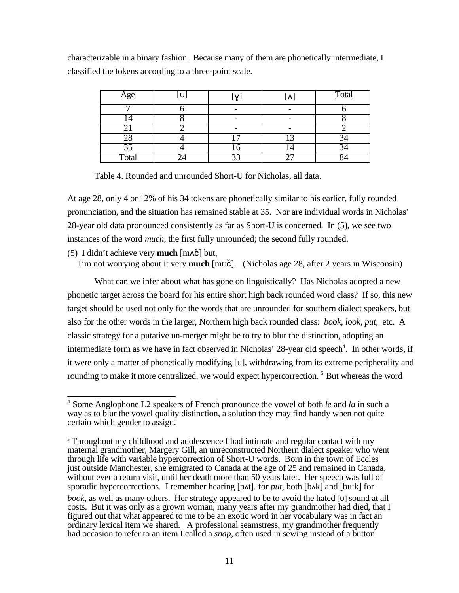characterizable in a binary fashion. Because many of them are phonetically intermediate, I classified the tokens according to a three-point scale.

| <u>Age</u> | U |  | Total |
|------------|---|--|-------|
|            |   |  |       |
|            |   |  |       |
|            |   |  |       |
|            |   |  |       |
| 35         |   |  |       |
| Total      |   |  |       |

Table 4. Rounded and unrounded Short-U for Nicholas, all data.

At age 28, only 4 or 12% of his 34 tokens are phonetically similar to his earlier, fully rounded pronunciation, and the situation has remained stable at 35. Nor are individual words in Nicholas' 28-year old data pronounced consistently as far as Short-U is concerned. In (5), we see two instances of the word *much*, the first fully unrounded; the second fully rounded.

 $(5)$  I didn't achieve very **much**  $[m \Delta \tilde{c}]$  but,

I'm not worrying about it very **much** [muč]. (Nicholas age 28, after 2 years in Wisconsin)

What can we infer about what has gone on linguistically? Has Nicholas adopted a new phonetic target across the board for his entire short high back rounded word class? If so, this new target should be used not only for the words that are unrounded for southern dialect speakers, but also for the other words in the larger, Northern high back rounded class: *book*, *look*, *put*, etc. A classic strategy for a putative un-merger might be to try to blur the distinction, adopting an intermediate form as we have in fact observed in Nicholas' 28-year old speech<sup>4</sup>. In other words, if it were only a matter of phonetically modifying [U], withdrawing from its extreme peripherality and rounding to make it more centralized, we would expect hypercorrection.<sup>5</sup> But whereas the word

 4 Some Anglophone L2 speakers of French pronounce the vowel of both *le* and *la* in such a way as to blur the vowel quality distinction, a solution they may find handy when not quite certain which gender to assign.

<sup>&</sup>lt;sup>5</sup> Throughout my childhood and adolescence I had intimate and regular contact with my maternal grandmother, Margery Gill, an unreconstructed Northern dialect speaker who went through life with variable hypercorrection of Short-U words. Born in the town of Eccles just outside Manchester, she emigrated to Canada at the age of 25 and remained in Canada, without ever a return visit, until her death more than 50 years later. Her speech was full of sporadic hypercorrections. I remember hearing [p∧t]. for *put*, both [b∧k] and [bu:k] for *book*, as well as many others. Her strategy appeared to be to avoid the hated [U] sound at all costs. But it was only as a grown woman, many years after my grandmother had died, that I figured out that what appeared to me to be an exotic word in her vocabulary was in fact an ordinary lexical item we shared. A professional seamstress, my grandmother frequently had occasion to refer to an item I called a *snap*, often used in sewing instead of a button.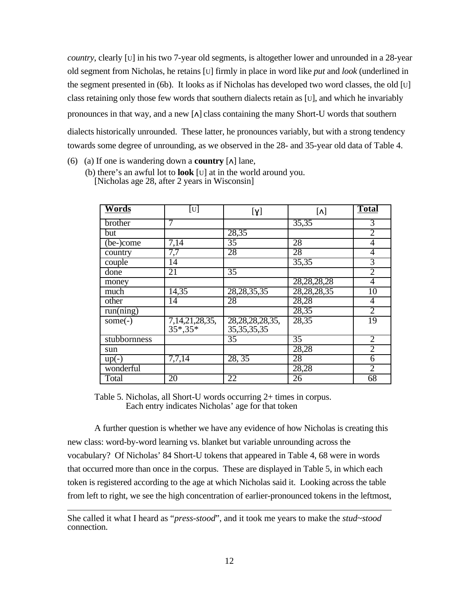*country*, clearly [U] in his two 7-year old segments, is altogether lower and unrounded in a 28-year old segment from Nicholas, he retains [U] firmly in place in word like *put* and *look* (underlined in the segment presented in (6b). It looks as if Nicholas has developed two word classes, the old [U] class retaining only those few words that southern dialects retain as [U], and which he invariably pronounces in that way, and a new  $[\lambda]$  class containing the many Short-U words that southern dialects historically unrounded. These latter, he pronounces variably, but with a strong tendency towards some degree of unrounding, as we observed in the 28- and 35-year old data of Table 4.

- (6) (a) If one is wandering down a **country**  $\lceil \Lambda \rceil$  lane,
	- (b) there's an awful lot to **look** [U] at in the world around you. [Nicholas age 28, after 2 years in Wisconsin]

| <b>Words</b> | $\lceil \mathrm{U} \rceil$  | [y]                                   | $\lceil \Lambda \rceil$ | <b>Total</b>   |
|--------------|-----------------------------|---------------------------------------|-------------------------|----------------|
| brother      | 7                           |                                       | 35,35                   | 3              |
| but          |                             | 28,35                                 |                         | $\overline{2}$ |
| (be-)come    | 7,14                        | $\overline{35}$                       | 28                      | 4              |
| country      | 7,7                         | 28                                    | 28                      | $\overline{4}$ |
| couple       | 14                          |                                       | 35,35                   | 3              |
| done         | 21                          | $\overline{35}$                       |                         | $\overline{2}$ |
| money        |                             |                                       | 28, 28, 28, 28          | 4              |
| much         | 14,35                       | 28, 28, 35, 35                        | 28, 28, 28, 35          | 10             |
| other        | 14                          | 28                                    | 28,28                   | $\overline{4}$ |
| run(ning)    |                             |                                       | 28,35                   | $\overline{2}$ |
| some $(-)$   | $7,14,21,28,35,$<br>35*,35* | 28, 28, 28, 28, 35,<br>35, 35, 35, 35 | 28,35                   | 19             |
| stubbornness |                             | $\overline{35}$                       | $\overline{35}$         | $\overline{2}$ |
| sun          |                             |                                       | 28,28                   | $\overline{2}$ |
| $up(-)$      | 7,7,14                      | 28, 35                                | 28                      | $\overline{6}$ |
| wonderful    |                             |                                       | 28,28                   | $\overline{2}$ |
| Total        | 20                          | 22                                    | $\overline{26}$         | 68             |

Table 5. Nicholas, all Short-U words occurring 2+ times in corpus. Each entry indicates Nicholas' age for that token

A further question is whether we have any evidence of how Nicholas is creating this new class: word-by-word learning vs. blanket but variable unrounding across the vocabulary? Of Nicholas' 84 Short-U tokens that appeared in Table 4, 68 were in words that occurred more than once in the corpus. These are displayed in Table 5, in which each token is registered according to the age at which Nicholas said it. Looking across the table from left to right, we see the high concentration of earlier-pronounced tokens in the leftmost,

 $\overline{a}$ She called it what I heard as "*press-stood*", and it took me years to make the *stud*~*stood* connection.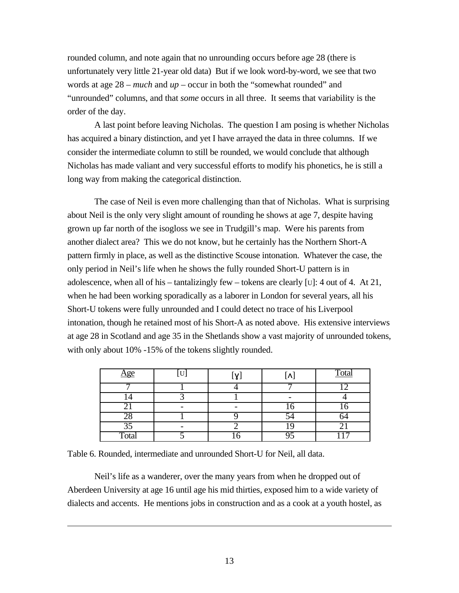rounded column, and note again that no unrounding occurs before age 28 (there is unfortunately very little 21-year old data) But if we look word-by-word, we see that two words at age 28 – *much* and *up* – occur in both the "somewhat rounded" and "unrounded" columns, and that *some* occurs in all three. It seems that variability is the order of the day.

A last point before leaving Nicholas. The question I am posing is whether Nicholas has acquired a binary distinction, and yet I have arrayed the data in three columns. If we consider the intermediate column to still be rounded, we would conclude that although Nicholas has made valiant and very successful efforts to modify his phonetics, he is still a long way from making the categorical distinction.

The case of Neil is even more challenging than that of Nicholas. What is surprising about Neil is the only very slight amount of rounding he shows at age 7, despite having grown up far north of the isogloss we see in Trudgill's map. Were his parents from another dialect area? This we do not know, but he certainly has the Northern Short-A pattern firmly in place, as well as the distinctive Scouse intonation. Whatever the case, the only period in Neil's life when he shows the fully rounded Short-U pattern is in adolescence, when all of his – tantalizingly few – tokens are clearly [U]: 4 out of 4. At 21, when he had been working sporadically as a laborer in London for several years, all his Short-U tokens were fully unrounded and I could detect no trace of his Liverpool intonation, though he retained most of his Short-A as noted above. His extensive interviews at age 28 in Scotland and age 35 in the Shetlands show a vast majority of unrounded tokens, with only about 10% -15% of the tokens slightly rounded.

| <u>Age</u>      | U | [X] | $\Lambda$ | <b>Total</b> |
|-----------------|---|-----|-----------|--------------|
|                 |   |     | −         |              |
|                 |   |     |           |              |
|                 |   |     | .0        |              |
| 28              |   |     |           |              |
| $\overline{35}$ |   |     |           | ັ            |
| Total           |   |     |           | −            |

Table 6. Rounded, intermediate and unrounded Short-U for Neil, all data.

 $\overline{a}$ 

Neil's life as a wanderer, over the many years from when he dropped out of Aberdeen University at age 16 until age his mid thirties, exposed him to a wide variety of dialects and accents. He mentions jobs in construction and as a cook at a youth hostel, as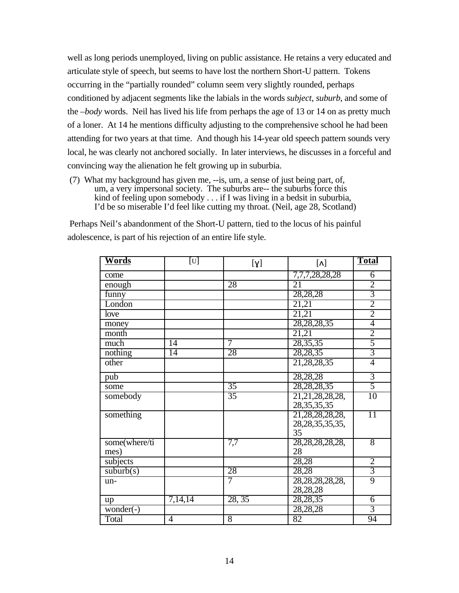well as long periods unemployed, living on public assistance. He retains a very educated and articulate style of speech, but seems to have lost the northern Short-U pattern. Tokens occurring in the "partially rounded" column seem very slightly rounded, perhaps conditioned by adjacent segments like the labials in the words *subject*, *suburb*, and some of the –*body* words. Neil has lived his life from perhaps the age of 13 or 14 on as pretty much of a loner. At 14 he mentions difficulty adjusting to the comprehensive school he had been attending for two years at that time. And though his 14-year old speech pattern sounds very local, he was clearly not anchored socially. In later interviews, he discusses in a forceful and convincing way the alienation he felt growing up in suburbia.

 (7) What my background has given me, --is, um, a sense of just being part, of, um, a very impersonal society. The suburbs are-- the suburbs force this kind of feeling upon somebody . . . if I was living in a bedsit in suburbia, I'd be so miserable I'd feel like cutting my throat. (Neil, age 28, Scotland)

 Perhaps Neil's abandonment of the Short-U pattern, tied to the locus of his painful adolescence, is part of his rejection of an entire life style.

| <b>Words</b>  | $[\mathbf{U}]$ | $[\gamma]$      | $[\Lambda]$         | <b>Total</b>    |
|---------------|----------------|-----------------|---------------------|-----------------|
| come          |                |                 | 7,7,7,28,28,28      | 6               |
| enough        |                | 28              | 21                  | $\frac{2}{3}$   |
| funny         |                |                 | 28,28,28            |                 |
| London        |                |                 | 21,21               |                 |
| love          |                |                 | 21,21               | $\overline{2}$  |
| money         |                |                 | 28, 28, 28, 35      | 4               |
| month         |                |                 | 21,21               | $rac{2}{5}$     |
| much          | 14             | 7               | 28, 35, 35          |                 |
| nothing       | 14             | 28              | 28,28,35            | $\overline{3}$  |
| other         |                |                 | 21, 28, 28, 35      | 4               |
| pub           |                |                 | 28,28,28            | $\overline{3}$  |
| some          |                | $\overline{35}$ | 28, 28, 28, 35      | $\overline{5}$  |
| somebody      |                | $\overline{35}$ | 21, 21, 28, 28, 28, | 10              |
|               |                |                 | 28, 35, 35, 35      |                 |
| something     |                |                 | 21, 28, 28, 28, 28, | $\overline{11}$ |
|               |                |                 | 28, 28, 35, 35, 35, |                 |
|               |                |                 | 35                  |                 |
| some(where/ti |                | 7,7             | 28, 28, 28, 28, 28, | 8               |
| mes)          |                |                 | 28                  |                 |
| subjects      |                |                 | 28,28               | $\overline{2}$  |
| suburb(s)     |                | 28              | 28,28               | $\overline{3}$  |
| un-           |                | 7               | 28, 28, 28, 28, 28, | 9               |
|               |                |                 | 28,28,28            |                 |
| up            | 7,14,14        | 28, 35          | 28,28,35            | $\overline{6}$  |
| $wonder(-)$   |                |                 | 28,28,28            | $\overline{3}$  |
| Total         | 4              | 8               | 82                  | 94              |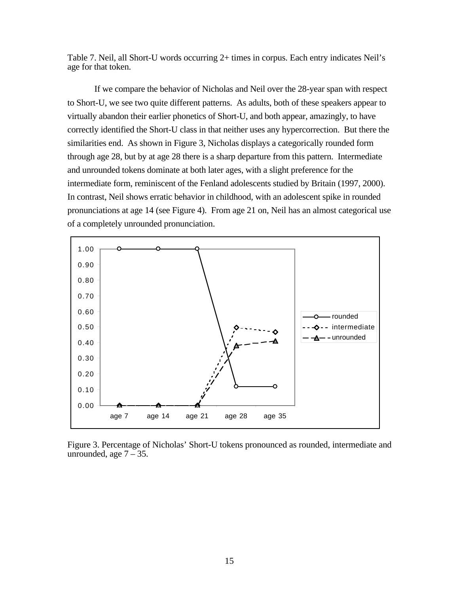Table 7. Neil, all Short-U words occurring 2+ times in corpus. Each entry indicates Neil's age for that token.

If we compare the behavior of Nicholas and Neil over the 28-year span with respect to Short-U, we see two quite different patterns. As adults, both of these speakers appear to virtually abandon their earlier phonetics of Short-U, and both appear, amazingly, to have correctly identified the Short-U class in that neither uses any hypercorrection. But there the similarities end. As shown in Figure 3, Nicholas displays a categorically rounded form through age 28, but by at age 28 there is a sharp departure from this pattern. Intermediate and unrounded tokens dominate at both later ages, with a slight preference for the intermediate form, reminiscent of the Fenland adolescents studied by Britain (1997, 2000). In contrast, Neil shows erratic behavior in childhood, with an adolescent spike in rounded pronunciations at age 14 (see Figure 4). From age 21 on, Neil has an almost categorical use of a completely unrounded pronunciation.



Figure 3. Percentage of Nicholas' Short-U tokens pronounced as rounded, intermediate and unrounded, age  $7 - 35$ .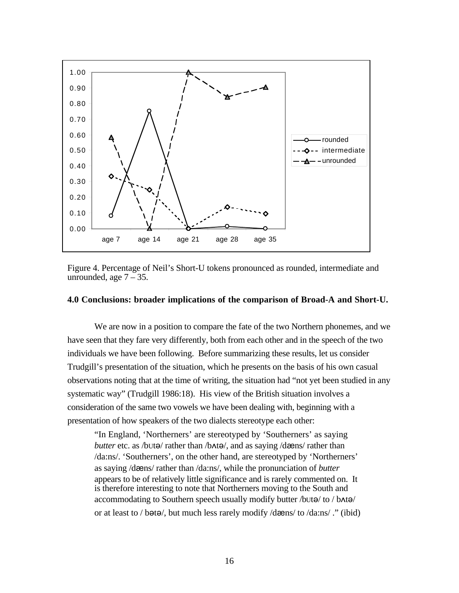

Figure 4. Percentage of Neil's Short-U tokens pronounced as rounded, intermediate and unrounded, age  $7 - 35$ .

#### **4.0 Conclusions: broader implications of the comparison of Broad-A and Short-U.**

We are now in a position to compare the fate of the two Northern phonemes, and we have seen that they fare very differently, both from each other and in the speech of the two individuals we have been following. Before summarizing these results, let us consider Trudgill's presentation of the situation, which he presents on the basis of his own casual observations noting that at the time of writing, the situation had "not yet been studied in any systematic way" (Trudgill 1986:18). His view of the British situation involves a consideration of the same two vowels we have been dealing with, beginning with a presentation of how speakers of the two dialects stereotype each other:

"In England, 'Northerners' are stereotyped by 'Southerners' as saying *butter* etc. as /bUt $\Theta$ / rather than /b $\triangle$ t $\Theta$ /, and as saying /dæns/ rather than /da:ns/. 'Southerners', on the other hand, are stereotyped by 'Northerners' as saying /dæns/ rather than /da:ns/, while the pronunciation of *butter* appears to be of relatively little significance and is rarely commented on. It is therefore interesting to note that Northerners moving to the South and accommodating to Southern speech usually modify butter /bUt $\Theta$ / to / b $\Lambda$ t $\Theta$ / or at least to / b $\Theta$ t $\Theta$ , but much less rarely modify /d $\Theta$ ens/ to /da:ns/ ." (ibid)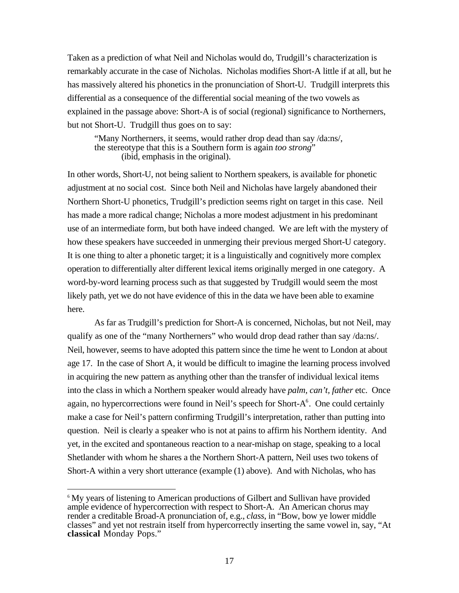Taken as a prediction of what Neil and Nicholas would do, Trudgill's characterization is remarkably accurate in the case of Nicholas. Nicholas modifies Short-A little if at all, but he has massively altered his phonetics in the pronunciation of Short-U. Trudgill interprets this differential as a consequence of the differential social meaning of the two vowels as explained in the passage above: Short-A is of social (regional) significance to Northerners, but not Short-U. Trudgill thus goes on to say:

"Many Northerners, it seems, would rather drop dead than say /da:ns/, the stereotype that this is a Southern form is again *too strong*" (ibid, emphasis in the original).

In other words, Short-U, not being salient to Northern speakers, is available for phonetic adjustment at no social cost. Since both Neil and Nicholas have largely abandoned their Northern Short-U phonetics, Trudgill's prediction seems right on target in this case. Neil has made a more radical change; Nicholas a more modest adjustment in his predominant use of an intermediate form, but both have indeed changed. We are left with the mystery of how these speakers have succeeded in unmerging their previous merged Short-U category. It is one thing to alter a phonetic target; it is a linguistically and cognitively more complex operation to differentially alter different lexical items originally merged in one category. A word-by-word learning process such as that suggested by Trudgill would seem the most likely path, yet we do not have evidence of this in the data we have been able to examine here.

As far as Trudgill's prediction for Short-A is concerned, Nicholas, but not Neil, may qualify as one of the "many Northerners" who would drop dead rather than say /da:ns/. Neil, however, seems to have adopted this pattern since the time he went to London at about age 17. In the case of Short A, it would be difficult to imagine the learning process involved in acquiring the new pattern as anything other than the transfer of individual lexical items into the class in which a Northern speaker would already have *palm, can't, father* etc. Once again, no hypercorrections were found in Neil's speech for Short- $A^6$ . One could certainly make a case for Neil's pattern confirming Trudgill's interpretation, rather than putting into question. Neil is clearly a speaker who is not at pains to affirm his Northern identity. And yet, in the excited and spontaneous reaction to a near-mishap on stage, speaking to a local Shetlander with whom he shares a the Northern Short-A pattern, Neil uses two tokens of Short-A within a very short utterance (example (1) above). And with Nicholas, who has

 $\overline{a}$ 

<sup>&</sup>lt;sup>6</sup> My years of listening to American productions of Gilbert and Sullivan have provided ample evidence of hypercorrection with respect to Short-A. An American chorus may render a creditable Broad-A pronunciation of, e.g., *class*, in "Bow, bow ye lower middle classes" and yet not restrain itself from hypercorrectly inserting the same vowel in, say, "At **classical** Monday Pops."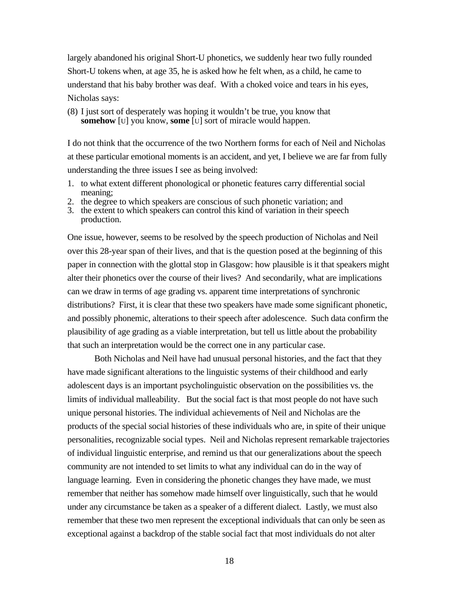largely abandoned his original Short-U phonetics, we suddenly hear two fully rounded Short-U tokens when, at age 35, he is asked how he felt when, as a child, he came to understand that his baby brother was deaf. With a choked voice and tears in his eyes, Nicholas says:

(8) I just sort of desperately was hoping it wouldn't be true, you know that **somehow** [U] you know, **some** [U] sort of miracle would happen.

I do not think that the occurrence of the two Northern forms for each of Neil and Nicholas at these particular emotional moments is an accident, and yet, I believe we are far from fully understanding the three issues I see as being involved:

- 1. to what extent different phonological or phonetic features carry differential social meaning;
- 2. the degree to which speakers are conscious of such phonetic variation; and
- 3. the extent to which speakers can control this kind of variation in their speech production.

One issue, however, seems to be resolved by the speech production of Nicholas and Neil over this 28-year span of their lives, and that is the question posed at the beginning of this paper in connection with the glottal stop in Glasgow: how plausible is it that speakers might alter their phonetics over the course of their lives? And secondarily, what are implications can we draw in terms of age grading vs. apparent time interpretations of synchronic distributions? First, it is clear that these two speakers have made some significant phonetic, and possibly phonemic, alterations to their speech after adolescence. Such data confirm the plausibility of age grading as a viable interpretation, but tell us little about the probability that such an interpretation would be the correct one in any particular case.

Both Nicholas and Neil have had unusual personal histories, and the fact that they have made significant alterations to the linguistic systems of their childhood and early adolescent days is an important psycholinguistic observation on the possibilities vs. the limits of individual malleability. But the social fact is that most people do not have such unique personal histories. The individual achievements of Neil and Nicholas are the products of the special social histories of these individuals who are, in spite of their unique personalities, recognizable social types. Neil and Nicholas represent remarkable trajectories of individual linguistic enterprise, and remind us that our generalizations about the speech community are not intended to set limits to what any individual can do in the way of language learning. Even in considering the phonetic changes they have made, we must remember that neither has somehow made himself over linguistically, such that he would under any circumstance be taken as a speaker of a different dialect. Lastly, we must also remember that these two men represent the exceptional individuals that can only be seen as exceptional against a backdrop of the stable social fact that most individuals do not alter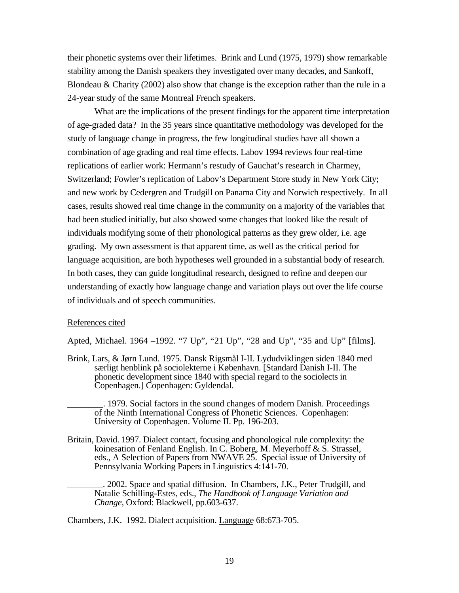their phonetic systems over their lifetimes. Brink and Lund (1975, 1979) show remarkable stability among the Danish speakers they investigated over many decades, and Sankoff, Blondeau & Charity (2002) also show that change is the exception rather than the rule in a 24-year study of the same Montreal French speakers.

What are the implications of the present findings for the apparent time interpretation of age-graded data? In the 35 years since quantitative methodology was developed for the study of language change in progress, the few longitudinal studies have all shown a combination of age grading and real time effects. Labov 1994 reviews four real-time replications of earlier work: Hermann's restudy of Gauchat's research in Charmey, Switzerland; Fowler's replication of Labov's Department Store study in New York City; and new work by Cedergren and Trudgill on Panama City and Norwich respectively. In all cases, results showed real time change in the community on a majority of the variables that had been studied initially, but also showed some changes that looked like the result of individuals modifying some of their phonological patterns as they grew older, i.e. age grading. My own assessment is that apparent time, as well as the critical period for language acquisition, are both hypotheses well grounded in a substantial body of research. In both cases, they can guide longitudinal research, designed to refine and deepen our understanding of exactly how language change and variation plays out over the life course of individuals and of speech communities.

## References cited

Apted, Michael. 1964 –1992. "7 Up", "21 Up", "28 and Up", "35 and Up" [films].

Brink, Lars, & Jørn Lund. 1975. Dansk Rigsmål I-II. Lydudviklingen siden 1840 med særligt henblink på sociolekterne i København. [Standard Danish I-II. The phonetic development since 1840 with special regard to the sociolects in Copenhagen.] Copenhagen: Gyldendal.

\_\_\_\_\_\_\_\_. 1979. Social factors in the sound changes of modern Danish. Proceedings of the Ninth International Congress of Phonetic Sciences. Copenhagen: University of Copenhagen. Volume II. Pp. 196-203.

Britain, David. 1997. Dialect contact, focusing and phonological rule complexity: the koinesation of Fenland English. In C. Boberg, M. Meyerhoff & S. Strassel, eds., A Selection of Papers from NWAVE 25. Special issue of University of Pennsylvania Working Papers in Linguistics 4:141-70.

\_\_\_\_\_\_\_\_. 2002. Space and spatial diffusion. In Chambers, J.K., Peter Trudgill, and Natalie Schilling-Estes, eds., *The Handbook of Language Variation and Change*, Oxford: Blackwell, pp.603-637.

Chambers, J.K. 1992. Dialect acquisition. Language 68:673-705.